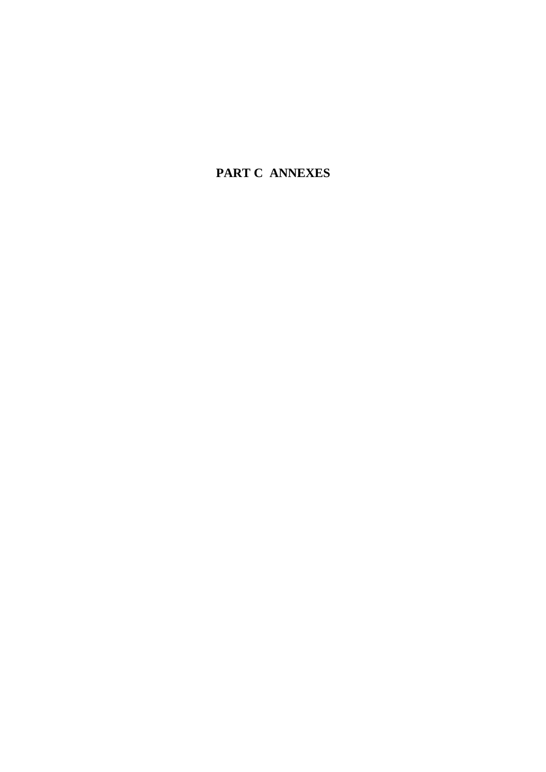**PART C ANNEXES**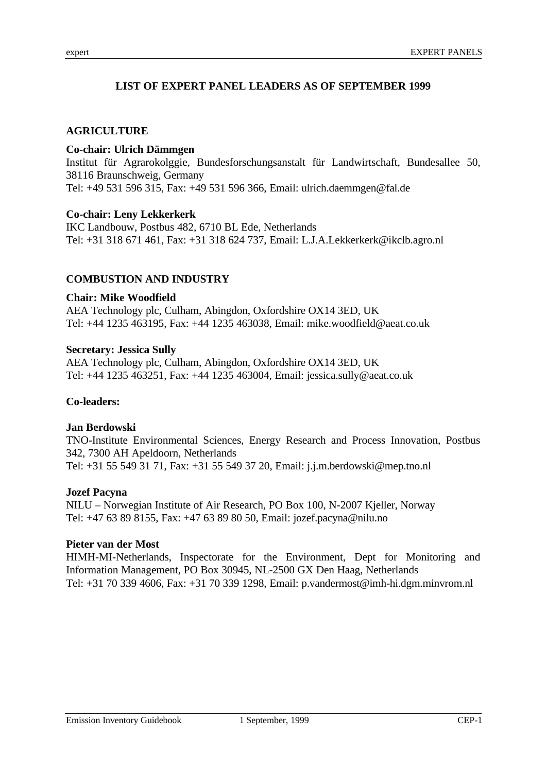# **LIST OF EXPERT PANEL LEADERS AS OF SEPTEMBER 1999**

## **AGRICULTURE**

## **Co-chair: Ulrich Dämmgen**

Institut für Agrarokolggie, Bundesforschungsanstalt für Landwirtschaft, Bundesallee 50, 38116 Braunschweig, Germany Tel: +49 531 596 315, Fax: +49 531 596 366, Email: ulrich.daemmgen@fal.de

### **Co-chair: Leny Lekkerkerk**

IKC Landbouw, Postbus 482, 6710 BL Ede, Netherlands Tel: +31 318 671 461, Fax: +31 318 624 737, Email: L.J.A.Lekkerkerk@ikclb.agro.nl

# **COMBUSTION AND INDUSTRY**

## **Chair: Mike Woodfield**

AEA Technology plc, Culham, Abingdon, Oxfordshire OX14 3ED, UK Tel: +44 1235 463195, Fax: +44 1235 463038, Email: mike.woodfield@aeat.co.uk

### **Secretary: Jessica Sully**

AEA Technology plc, Culham, Abingdon, Oxfordshire OX14 3ED, UK Tel: +44 1235 463251, Fax: +44 1235 463004, Email: jessica.sully@aeat.co.uk

## **Co-leaders:**

### **Jan Berdowski**

TNO-Institute Environmental Sciences, Energy Research and Process Innovation, Postbus 342, 7300 AH Apeldoorn, Netherlands Tel: +31 55 549 31 71, Fax: +31 55 549 37 20, Email: j.j.m.berdowski@mep.tno.nl

### **Jozef Pacyna**

NILU – Norwegian Institute of Air Research, PO Box 100, N-2007 Kjeller, Norway Tel: +47 63 89 8155, Fax: +47 63 89 80 50, Email: jozef.pacyna@nilu.no

### **Pieter van der Most**

HIMH-MI-Netherlands, Inspectorate for the Environment, Dept for Monitoring and Information Management, PO Box 30945, NL-2500 GX Den Haag, Netherlands Tel: +31 70 339 4606, Fax: +31 70 339 1298, Email: p.vandermost@imh-hi.dgm.minvrom.nl